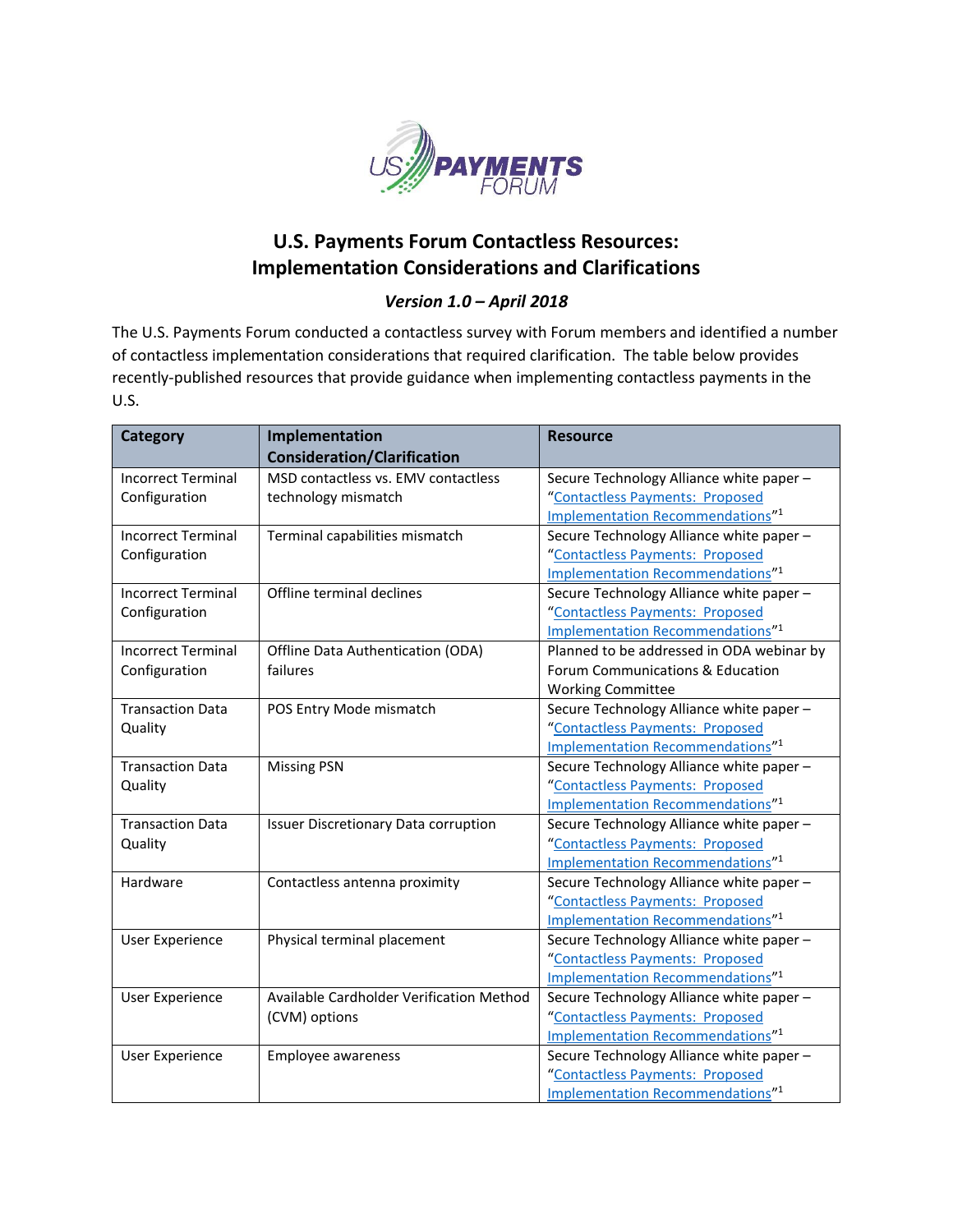

## **U.S. Payments Forum Contactless Resources: Implementation Considerations and Clarifications**

## *Version 1.0 – April 2018*

The U.S. Payments Forum conducted a contactless survey with Forum members and identified a number of contactless implementation considerations that required clarification. The table below provides recently-published resources that provide guidance when implementing contactless payments in the U.S.

| <b>Category</b>           | Implementation                           | <b>Resource</b>                              |
|---------------------------|------------------------------------------|----------------------------------------------|
|                           | <b>Consideration/Clarification</b>       |                                              |
| <b>Incorrect Terminal</b> | MSD contactless vs. EMV contactless      | Secure Technology Alliance white paper -     |
| Configuration             | technology mismatch                      | "Contactless Payments: Proposed              |
|                           |                                          | Implementation Recommendations" <sup>1</sup> |
| <b>Incorrect Terminal</b> | Terminal capabilities mismatch           | Secure Technology Alliance white paper -     |
| Configuration             |                                          | "Contactless Payments: Proposed              |
|                           |                                          | Implementation Recommendations" <sup>1</sup> |
| <b>Incorrect Terminal</b> | Offline terminal declines                | Secure Technology Alliance white paper-      |
| Configuration             |                                          | "Contactless Payments: Proposed              |
|                           |                                          | Implementation Recommendations" <sup>1</sup> |
| <b>Incorrect Terminal</b> | Offline Data Authentication (ODA)        | Planned to be addressed in ODA webinar by    |
| Configuration             | failures                                 | Forum Communications & Education             |
|                           |                                          | <b>Working Committee</b>                     |
| <b>Transaction Data</b>   | POS Entry Mode mismatch                  | Secure Technology Alliance white paper -     |
| Quality                   |                                          | "Contactless Payments: Proposed              |
|                           |                                          | Implementation Recommendations" <sup>1</sup> |
| <b>Transaction Data</b>   | <b>Missing PSN</b>                       | Secure Technology Alliance white paper -     |
| Quality                   |                                          | "Contactless Payments: Proposed              |
|                           |                                          | Implementation Recommendations" <sup>1</sup> |
| <b>Transaction Data</b>   | Issuer Discretionary Data corruption     | Secure Technology Alliance white paper -     |
| Quality                   |                                          | "Contactless Payments: Proposed              |
|                           |                                          | Implementation Recommendations" <sup>1</sup> |
| Hardware                  | Contactless antenna proximity            | Secure Technology Alliance white paper-      |
|                           |                                          | "Contactless Payments: Proposed              |
|                           |                                          | Implementation Recommendations" <sup>1</sup> |
| <b>User Experience</b>    | Physical terminal placement              | Secure Technology Alliance white paper -     |
|                           |                                          | "Contactless Payments: Proposed              |
|                           |                                          | Implementation Recommendations" <sup>1</sup> |
| <b>User Experience</b>    | Available Cardholder Verification Method | Secure Technology Alliance white paper -     |
|                           | (CVM) options                            | "Contactless Payments: Proposed              |
|                           |                                          | <b>Implementation Recommendations"1</b>      |
| <b>User Experience</b>    | Employee awareness                       | Secure Technology Alliance white paper-      |
|                           |                                          | "Contactless Payments: Proposed              |
|                           |                                          | Implementation Recommendations" <sup>1</sup> |